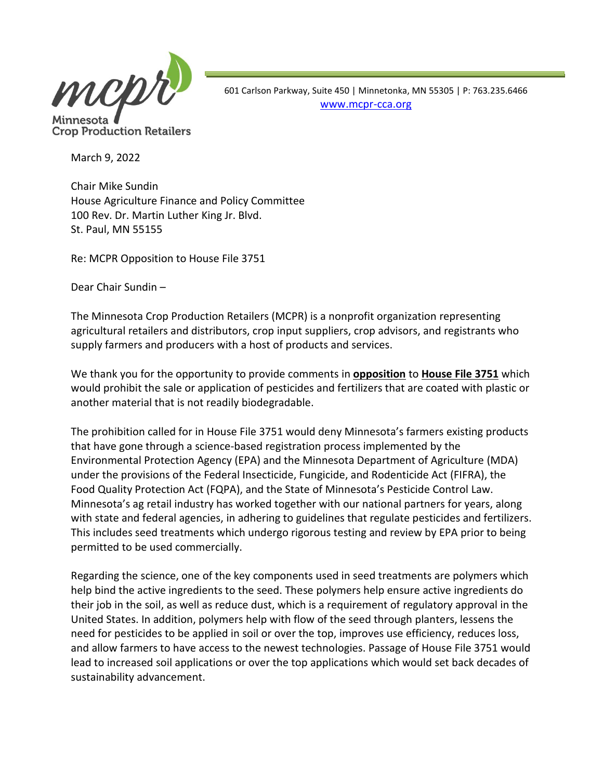

**Crop Production Retailers** 

 601 Carlson Parkway, Suite 450 | Minnetonka, MN 55305 | P: 763.235.6466 [www.mcpr-cca.org](http://www.mcpr-cca.org/)

March 9, 2022

Chair Mike Sundin House Agriculture Finance and Policy Committee 100 Rev. Dr. Martin Luther King Jr. Blvd. St. Paul, MN 55155

Re: MCPR Opposition to House File 3751

Dear Chair Sundin –

The Minnesota Crop Production Retailers (MCPR) is a nonprofit organization representing agricultural retailers and distributors, crop input suppliers, crop advisors, and registrants who supply farmers and producers with a host of products and services.

We thank you for the opportunity to provide comments in **opposition** to **House File 3751** which would prohibit the sale or application of pesticides and fertilizers that are coated with plastic or another material that is not readily biodegradable.

The prohibition called for in House File 3751 would deny Minnesota's farmers existing products that have gone through a science-based registration process implemented by the Environmental Protection Agency (EPA) and the Minnesota Department of Agriculture (MDA) under the provisions of the Federal Insecticide, Fungicide, and Rodenticide Act (FIFRA), the Food Quality Protection Act (FQPA), and the State of Minnesota's Pesticide Control Law. Minnesota's ag retail industry has worked together with our national partners for years, along with state and federal agencies, in adhering to guidelines that regulate pesticides and fertilizers. This includes seed treatments which undergo rigorous testing and review by EPA prior to being permitted to be used commercially.

Regarding the science, one of the key components used in seed treatments are polymers which help bind the active ingredients to the seed. These polymers help ensure active ingredients do their job in the soil, as well as reduce dust, which is a requirement of regulatory approval in the United States. In addition, polymers help with flow of the seed through planters, lessens the need for pesticides to be applied in soil or over the top, improves use efficiency, reduces loss, and allow farmers to have access to the newest technologies. Passage of House File 3751 would lead to increased soil applications or over the top applications which would set back decades of sustainability advancement.